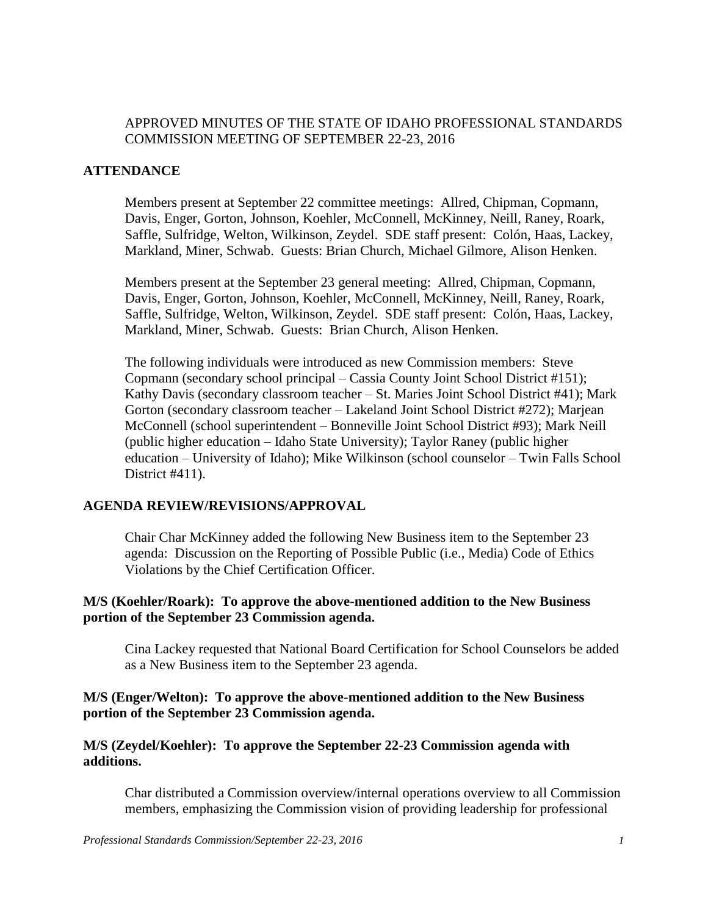## APPROVED MINUTES OF THE STATE OF IDAHO PROFESSIONAL STANDARDS COMMISSION MEETING OF SEPTEMBER 22-23, 2016

#### **ATTENDANCE**

Members present at September 22 committee meetings: Allred, Chipman, Copmann, Davis, Enger, Gorton, Johnson, Koehler, McConnell, McKinney, Neill, Raney, Roark, Saffle, Sulfridge, Welton, Wilkinson, Zeydel. SDE staff present: Colón, Haas, Lackey, Markland, Miner, Schwab. Guests: Brian Church, Michael Gilmore, Alison Henken.

Members present at the September 23 general meeting: Allred, Chipman, Copmann, Davis, Enger, Gorton, Johnson, Koehler, McConnell, McKinney, Neill, Raney, Roark, Saffle, Sulfridge, Welton, Wilkinson, Zeydel. SDE staff present: Colón, Haas, Lackey, Markland, Miner, Schwab. Guests: Brian Church, Alison Henken.

The following individuals were introduced as new Commission members: Steve Copmann (secondary school principal – Cassia County Joint School District #151); Kathy Davis (secondary classroom teacher – St. Maries Joint School District #41); Mark Gorton (secondary classroom teacher – Lakeland Joint School District #272); Marjean McConnell (school superintendent – Bonneville Joint School District #93); Mark Neill (public higher education – Idaho State University); Taylor Raney (public higher education – University of Idaho); Mike Wilkinson (school counselor – Twin Falls School District #411).

#### **AGENDA REVIEW/REVISIONS/APPROVAL**

Chair Char McKinney added the following New Business item to the September 23 agenda: Discussion on the Reporting of Possible Public (i.e., Media) Code of Ethics Violations by the Chief Certification Officer.

#### **M/S (Koehler/Roark): To approve the above-mentioned addition to the New Business portion of the September 23 Commission agenda.**

Cina Lackey requested that National Board Certification for School Counselors be added as a New Business item to the September 23 agenda.

### **M/S (Enger/Welton): To approve the above-mentioned addition to the New Business portion of the September 23 Commission agenda.**

### **M/S (Zeydel/Koehler): To approve the September 22-23 Commission agenda with additions.**

Char distributed a Commission overview/internal operations overview to all Commission members, emphasizing the Commission vision of providing leadership for professional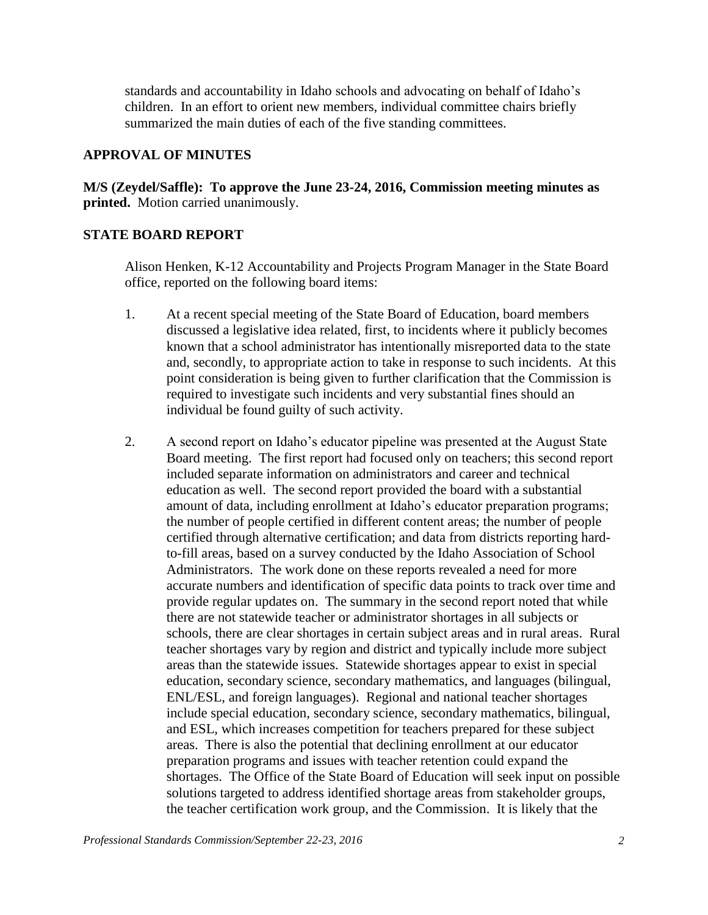standards and accountability in Idaho schools and advocating on behalf of Idaho's children. In an effort to orient new members, individual committee chairs briefly summarized the main duties of each of the five standing committees.

#### **APPROVAL OF MINUTES**

**M/S (Zeydel/Saffle): To approve the June 23-24, 2016, Commission meeting minutes as printed.** Motion carried unanimously.

### **STATE BOARD REPORT**

Alison Henken, K-12 Accountability and Projects Program Manager in the State Board office, reported on the following board items:

- 1. At a recent special meeting of the State Board of Education, board members discussed a legislative idea related, first, to incidents where it publicly becomes known that a school administrator has intentionally misreported data to the state and, secondly, to appropriate action to take in response to such incidents. At this point consideration is being given to further clarification that the Commission is required to investigate such incidents and very substantial fines should an individual be found guilty of such activity.
- 2. A second report on Idaho's educator pipeline was presented at the August State Board meeting. The first report had focused only on teachers; this second report included separate information on administrators and career and technical education as well. The second report provided the board with a substantial amount of data, including enrollment at Idaho's educator preparation programs; the number of people certified in different content areas; the number of people certified through alternative certification; and data from districts reporting hardto-fill areas, based on a survey conducted by the Idaho Association of School Administrators. The work done on these reports revealed a need for more accurate numbers and identification of specific data points to track over time and provide regular updates on. The summary in the second report noted that while there are not statewide teacher or administrator shortages in all subjects or schools, there are clear shortages in certain subject areas and in rural areas. Rural teacher shortages vary by region and district and typically include more subject areas than the statewide issues. Statewide shortages appear to exist in special education, secondary science, secondary mathematics, and languages (bilingual, ENL/ESL, and foreign languages). Regional and national teacher shortages include special education, secondary science, secondary mathematics, bilingual, and ESL, which increases competition for teachers prepared for these subject areas. There is also the potential that declining enrollment at our educator preparation programs and issues with teacher retention could expand the shortages. The Office of the State Board of Education will seek input on possible solutions targeted to address identified shortage areas from stakeholder groups, the teacher certification work group, and the Commission. It is likely that the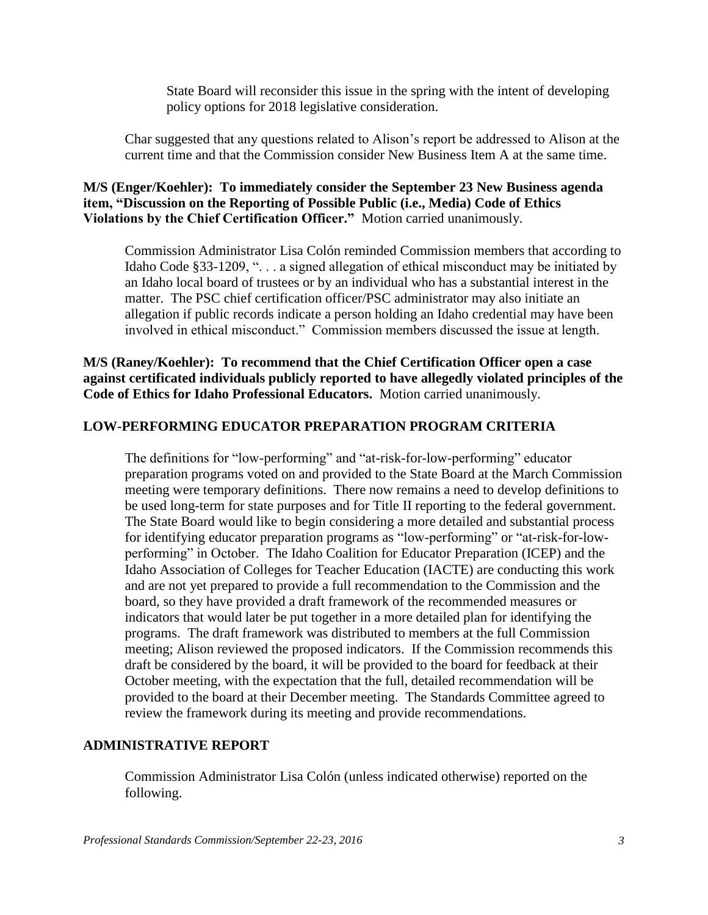State Board will reconsider this issue in the spring with the intent of developing policy options for 2018 legislative consideration.

Char suggested that any questions related to Alison's report be addressed to Alison at the current time and that the Commission consider New Business Item A at the same time.

**M/S (Enger/Koehler): To immediately consider the September 23 New Business agenda item, "Discussion on the Reporting of Possible Public (i.e., Media) Code of Ethics Violations by the Chief Certification Officer."** Motion carried unanimously.

Commission Administrator Lisa Colón reminded Commission members that according to Idaho Code §33-1209, ". . . a signed allegation of ethical misconduct may be initiated by an Idaho local board of trustees or by an individual who has a substantial interest in the matter. The PSC chief certification officer/PSC administrator may also initiate an allegation if public records indicate a person holding an Idaho credential may have been involved in ethical misconduct." Commission members discussed the issue at length.

**M/S (Raney/Koehler): To recommend that the Chief Certification Officer open a case against certificated individuals publicly reported to have allegedly violated principles of the Code of Ethics for Idaho Professional Educators.** Motion carried unanimously.

### **LOW-PERFORMING EDUCATOR PREPARATION PROGRAM CRITERIA**

The definitions for "low-performing" and "at-risk-for-low-performing" educator preparation programs voted on and provided to the State Board at the March Commission meeting were temporary definitions. There now remains a need to develop definitions to be used long-term for state purposes and for Title II reporting to the federal government. The State Board would like to begin considering a more detailed and substantial process for identifying educator preparation programs as "low-performing" or "at-risk-for-lowperforming" in October. The Idaho Coalition for Educator Preparation (ICEP) and the Idaho Association of Colleges for Teacher Education (IACTE) are conducting this work and are not yet prepared to provide a full recommendation to the Commission and the board, so they have provided a draft framework of the recommended measures or indicators that would later be put together in a more detailed plan for identifying the programs. The draft framework was distributed to members at the full Commission meeting; Alison reviewed the proposed indicators. If the Commission recommends this draft be considered by the board, it will be provided to the board for feedback at their October meeting, with the expectation that the full, detailed recommendation will be provided to the board at their December meeting. The Standards Committee agreed to review the framework during its meeting and provide recommendations.

#### **ADMINISTRATIVE REPORT**

Commission Administrator Lisa Colón (unless indicated otherwise) reported on the following.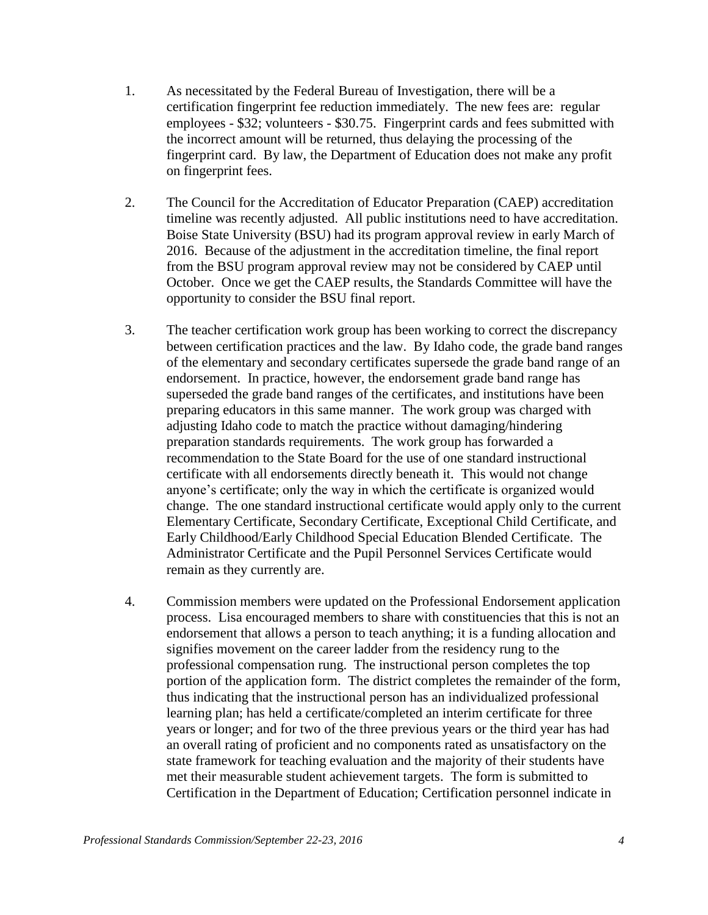- 1. As necessitated by the Federal Bureau of Investigation, there will be a certification fingerprint fee reduction immediately. The new fees are: regular employees - \$32; volunteers - \$30.75. Fingerprint cards and fees submitted with the incorrect amount will be returned, thus delaying the processing of the fingerprint card. By law, the Department of Education does not make any profit on fingerprint fees.
- 2. The Council for the Accreditation of Educator Preparation (CAEP) accreditation timeline was recently adjusted. All public institutions need to have accreditation. Boise State University (BSU) had its program approval review in early March of 2016. Because of the adjustment in the accreditation timeline, the final report from the BSU program approval review may not be considered by CAEP until October. Once we get the CAEP results, the Standards Committee will have the opportunity to consider the BSU final report.
- 3. The teacher certification work group has been working to correct the discrepancy between certification practices and the law. By Idaho code, the grade band ranges of the elementary and secondary certificates supersede the grade band range of an endorsement. In practice, however, the endorsement grade band range has superseded the grade band ranges of the certificates, and institutions have been preparing educators in this same manner. The work group was charged with adjusting Idaho code to match the practice without damaging/hindering preparation standards requirements. The work group has forwarded a recommendation to the State Board for the use of one standard instructional certificate with all endorsements directly beneath it. This would not change anyone's certificate; only the way in which the certificate is organized would change. The one standard instructional certificate would apply only to the current Elementary Certificate, Secondary Certificate, Exceptional Child Certificate, and Early Childhood/Early Childhood Special Education Blended Certificate. The Administrator Certificate and the Pupil Personnel Services Certificate would remain as they currently are.
- 4. Commission members were updated on the Professional Endorsement application process. Lisa encouraged members to share with constituencies that this is not an endorsement that allows a person to teach anything; it is a funding allocation and signifies movement on the career ladder from the residency rung to the professional compensation rung. The instructional person completes the top portion of the application form. The district completes the remainder of the form, thus indicating that the instructional person has an individualized professional learning plan; has held a certificate/completed an interim certificate for three years or longer; and for two of the three previous years or the third year has had an overall rating of proficient and no components rated as unsatisfactory on the state framework for teaching evaluation and the majority of their students have met their measurable student achievement targets. The form is submitted to Certification in the Department of Education; Certification personnel indicate in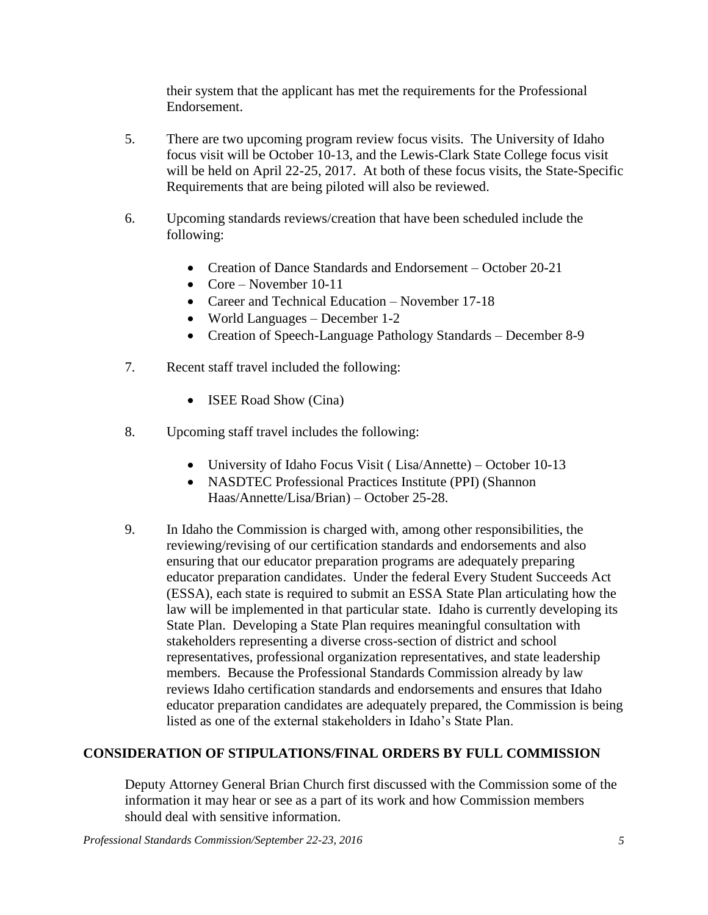their system that the applicant has met the requirements for the Professional Endorsement.

- 5. There are two upcoming program review focus visits. The University of Idaho focus visit will be October 10-13, and the Lewis-Clark State College focus visit will be held on April 22-25, 2017. At both of these focus visits, the State-Specific Requirements that are being piloted will also be reviewed.
- 6. Upcoming standards reviews/creation that have been scheduled include the following:
	- Creation of Dance Standards and Endorsement October 20-21
	- Core November 10-11
	- Career and Technical Education November 17-18
	- World Languages December 1-2
	- Creation of Speech-Language Pathology Standards December 8-9
- 7. Recent staff travel included the following:
	- **ISEE Road Show (Cina)**
- 8. Upcoming staff travel includes the following:
	- University of Idaho Focus Visit ( Lisa/Annette) October 10-13
	- NASDTEC Professional Practices Institute (PPI) (Shannon Haas/Annette/Lisa/Brian) – October 25-28.
- 9. In Idaho the Commission is charged with, among other responsibilities, the reviewing/revising of our certification standards and endorsements and also ensuring that our educator preparation programs are adequately preparing educator preparation candidates. Under the federal Every Student Succeeds Act (ESSA), each state is required to submit an ESSA State Plan articulating how the law will be implemented in that particular state. Idaho is currently developing its State Plan. Developing a State Plan requires meaningful consultation with stakeholders representing a diverse cross-section of district and school representatives, professional organization representatives, and state leadership members. Because the Professional Standards Commission already by law reviews Idaho certification standards and endorsements and ensures that Idaho educator preparation candidates are adequately prepared, the Commission is being listed as one of the external stakeholders in Idaho's State Plan.

# **CONSIDERATION OF STIPULATIONS/FINAL ORDERS BY FULL COMMISSION**

Deputy Attorney General Brian Church first discussed with the Commission some of the information it may hear or see as a part of its work and how Commission members should deal with sensitive information.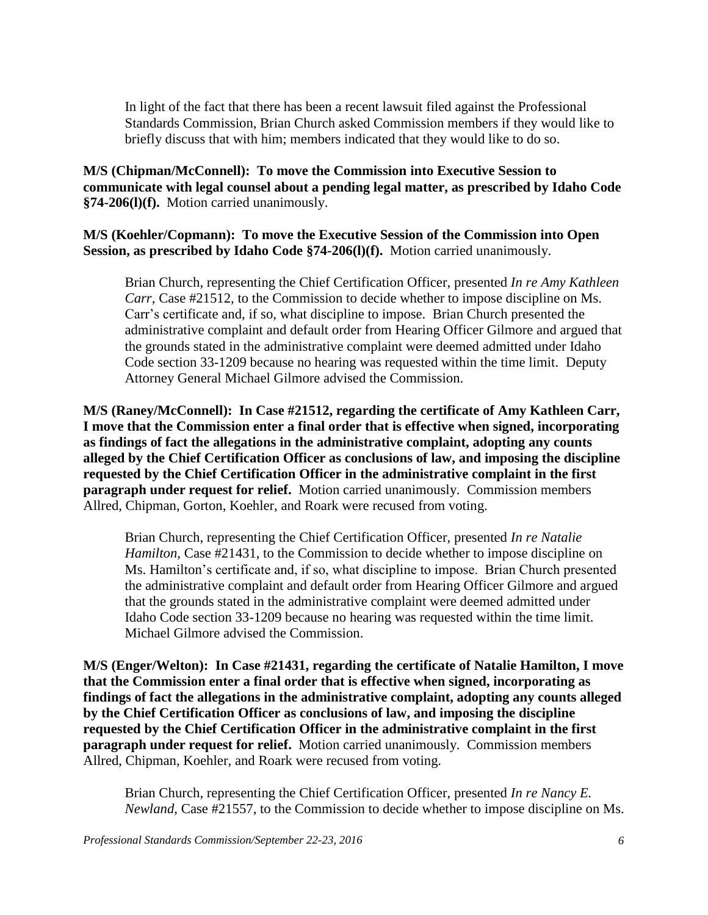In light of the fact that there has been a recent lawsuit filed against the Professional Standards Commission, Brian Church asked Commission members if they would like to briefly discuss that with him; members indicated that they would like to do so.

**M/S (Chipman/McConnell): To move the Commission into Executive Session to communicate with legal counsel about a pending legal matter, as prescribed by Idaho Code §74-206(l)(f).** Motion carried unanimously.

**M/S (Koehler/Copmann): To move the Executive Session of the Commission into Open Session, as prescribed by Idaho Code §74-206(l)(f).** Motion carried unanimously.

Brian Church, representing the Chief Certification Officer, presented *In re Amy Kathleen Carr*, Case #21512, to the Commission to decide whether to impose discipline on Ms. Carr's certificate and, if so, what discipline to impose. Brian Church presented the administrative complaint and default order from Hearing Officer Gilmore and argued that the grounds stated in the administrative complaint were deemed admitted under Idaho Code section 33-1209 because no hearing was requested within the time limit. Deputy Attorney General Michael Gilmore advised the Commission.

**M/S (Raney/McConnell): In Case #21512, regarding the certificate of Amy Kathleen Carr, I move that the Commission enter a final order that is effective when signed, incorporating as findings of fact the allegations in the administrative complaint, adopting any counts alleged by the Chief Certification Officer as conclusions of law, and imposing the discipline requested by the Chief Certification Officer in the administrative complaint in the first paragraph under request for relief.** Motion carried unanimously. Commission members Allred, Chipman, Gorton, Koehler, and Roark were recused from voting.

Brian Church, representing the Chief Certification Officer, presented *In re Natalie Hamilton*, Case #21431, to the Commission to decide whether to impose discipline on Ms. Hamilton's certificate and, if so, what discipline to impose. Brian Church presented the administrative complaint and default order from Hearing Officer Gilmore and argued that the grounds stated in the administrative complaint were deemed admitted under Idaho Code section 33-1209 because no hearing was requested within the time limit. Michael Gilmore advised the Commission.

**M/S (Enger/Welton): In Case #21431, regarding the certificate of Natalie Hamilton, I move that the Commission enter a final order that is effective when signed, incorporating as findings of fact the allegations in the administrative complaint, adopting any counts alleged by the Chief Certification Officer as conclusions of law, and imposing the discipline requested by the Chief Certification Officer in the administrative complaint in the first paragraph under request for relief.** Motion carried unanimously. Commission members Allred, Chipman, Koehler, and Roark were recused from voting.

Brian Church, representing the Chief Certification Officer, presented *In re Nancy E. Newland*, Case #21557, to the Commission to decide whether to impose discipline on Ms.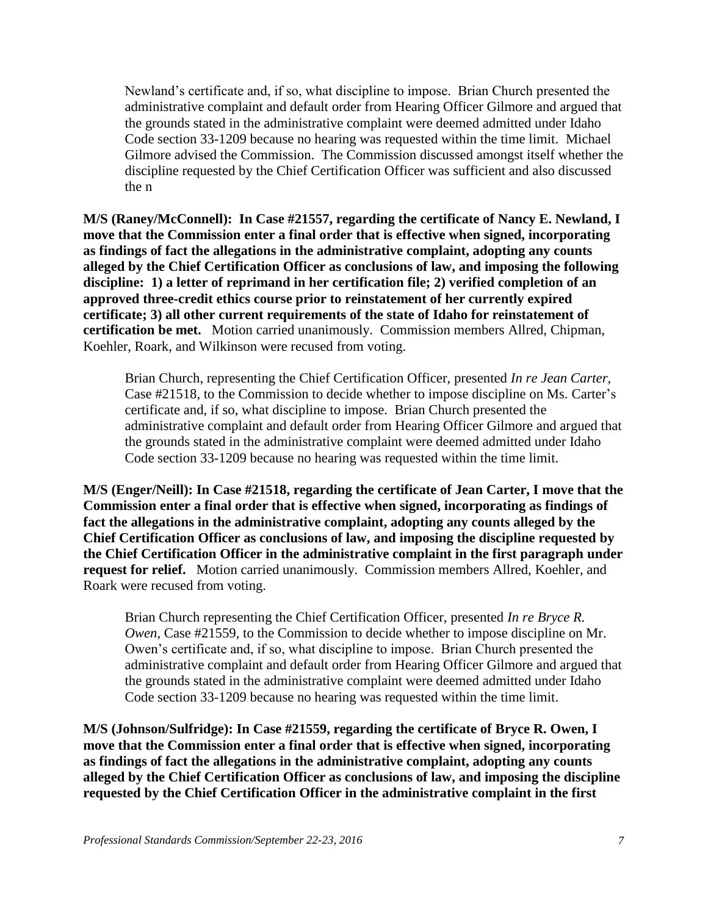Newland's certificate and, if so, what discipline to impose. Brian Church presented the administrative complaint and default order from Hearing Officer Gilmore and argued that the grounds stated in the administrative complaint were deemed admitted under Idaho Code section 33-1209 because no hearing was requested within the time limit. Michael Gilmore advised the Commission. The Commission discussed amongst itself whether the discipline requested by the Chief Certification Officer was sufficient and also discussed the n

**M/S (Raney/McConnell): In Case #21557, regarding the certificate of Nancy E. Newland, I move that the Commission enter a final order that is effective when signed, incorporating as findings of fact the allegations in the administrative complaint, adopting any counts alleged by the Chief Certification Officer as conclusions of law, and imposing the following discipline: 1) a letter of reprimand in her certification file; 2) verified completion of an approved three-credit ethics course prior to reinstatement of her currently expired certificate; 3) all other current requirements of the state of Idaho for reinstatement of certification be met.** Motion carried unanimously.Commission members Allred, Chipman, Koehler, Roark, and Wilkinson were recused from voting.

Brian Church, representing the Chief Certification Officer, presented *In re Jean Carter*, Case #21518, to the Commission to decide whether to impose discipline on Ms. Carter's certificate and, if so, what discipline to impose. Brian Church presented the administrative complaint and default order from Hearing Officer Gilmore and argued that the grounds stated in the administrative complaint were deemed admitted under Idaho Code section 33-1209 because no hearing was requested within the time limit.

**M/S (Enger/Neill): In Case #21518, regarding the certificate of Jean Carter, I move that the Commission enter a final order that is effective when signed, incorporating as findings of fact the allegations in the administrative complaint, adopting any counts alleged by the Chief Certification Officer as conclusions of law, and imposing the discipline requested by the Chief Certification Officer in the administrative complaint in the first paragraph under request for relief.** Motion carried unanimously. Commission members Allred, Koehler, and Roark were recused from voting.

Brian Church representing the Chief Certification Officer, presented *In re Bryce R. Owen*, Case #21559, to the Commission to decide whether to impose discipline on Mr. Owen's certificate and, if so, what discipline to impose. Brian Church presented the administrative complaint and default order from Hearing Officer Gilmore and argued that the grounds stated in the administrative complaint were deemed admitted under Idaho Code section 33-1209 because no hearing was requested within the time limit.

**M/S (Johnson/Sulfridge): In Case #21559, regarding the certificate of Bryce R. Owen, I move that the Commission enter a final order that is effective when signed, incorporating as findings of fact the allegations in the administrative complaint, adopting any counts alleged by the Chief Certification Officer as conclusions of law, and imposing the discipline requested by the Chief Certification Officer in the administrative complaint in the first**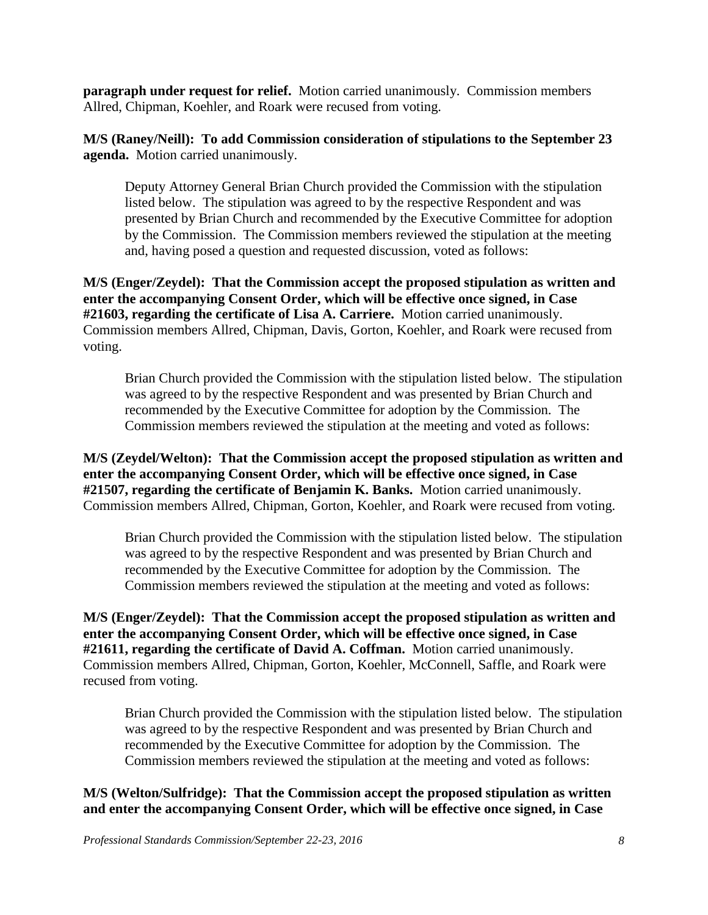**paragraph under request for relief.** Motion carried unanimously. Commission members Allred, Chipman, Koehler, and Roark were recused from voting.

**M/S (Raney/Neill): To add Commission consideration of stipulations to the September 23 agenda.** Motion carried unanimously.

Deputy Attorney General Brian Church provided the Commission with the stipulation listed below. The stipulation was agreed to by the respective Respondent and was presented by Brian Church and recommended by the Executive Committee for adoption by the Commission. The Commission members reviewed the stipulation at the meeting and, having posed a question and requested discussion, voted as follows:

**M/S (Enger/Zeydel): That the Commission accept the proposed stipulation as written and enter the accompanying Consent Order, which will be effective once signed, in Case #21603, regarding the certificate of Lisa A. Carriere.** Motion carried unanimously. Commission members Allred, Chipman, Davis, Gorton, Koehler, and Roark were recused from voting.

Brian Church provided the Commission with the stipulation listed below. The stipulation was agreed to by the respective Respondent and was presented by Brian Church and recommended by the Executive Committee for adoption by the Commission. The Commission members reviewed the stipulation at the meeting and voted as follows:

**M/S (Zeydel/Welton): That the Commission accept the proposed stipulation as written and enter the accompanying Consent Order, which will be effective once signed, in Case #21507, regarding the certificate of Benjamin K. Banks.** Motion carried unanimously. Commission members Allred, Chipman, Gorton, Koehler, and Roark were recused from voting.

Brian Church provided the Commission with the stipulation listed below. The stipulation was agreed to by the respective Respondent and was presented by Brian Church and recommended by the Executive Committee for adoption by the Commission. The Commission members reviewed the stipulation at the meeting and voted as follows:

**M/S (Enger/Zeydel): That the Commission accept the proposed stipulation as written and enter the accompanying Consent Order, which will be effective once signed, in Case #21611, regarding the certificate of David A. Coffman.** Motion carried unanimously. Commission members Allred, Chipman, Gorton, Koehler, McConnell, Saffle, and Roark were recused from voting.

Brian Church provided the Commission with the stipulation listed below. The stipulation was agreed to by the respective Respondent and was presented by Brian Church and recommended by the Executive Committee for adoption by the Commission. The Commission members reviewed the stipulation at the meeting and voted as follows:

# **M/S (Welton/Sulfridge): That the Commission accept the proposed stipulation as written and enter the accompanying Consent Order, which will be effective once signed, in Case**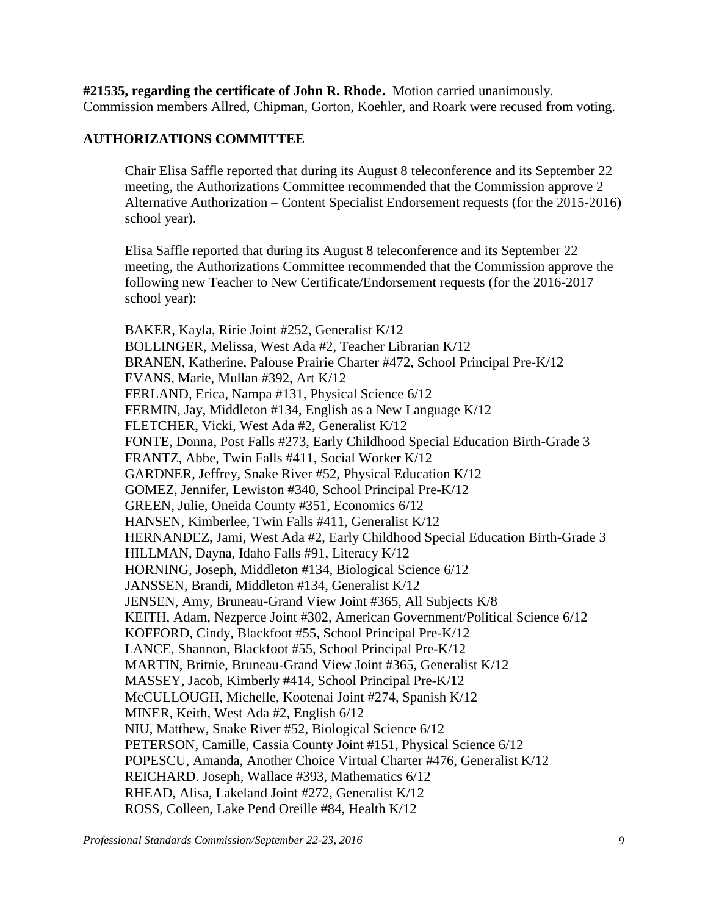**#21535, regarding the certificate of John R. Rhode.** Motion carried unanimously. Commission members Allred, Chipman, Gorton, Koehler, and Roark were recused from voting.

# **AUTHORIZATIONS COMMITTEE**

Chair Elisa Saffle reported that during its August 8 teleconference and its September 22 meeting, the Authorizations Committee recommended that the Commission approve 2 Alternative Authorization – Content Specialist Endorsement requests (for the 2015-2016) school year).

Elisa Saffle reported that during its August 8 teleconference and its September 22 meeting, the Authorizations Committee recommended that the Commission approve the following new Teacher to New Certificate/Endorsement requests (for the 2016-2017 school year):

BAKER, Kayla, Ririe Joint #252, Generalist K/12 BOLLINGER, Melissa, West Ada #2, Teacher Librarian K/12 BRANEN, Katherine, Palouse Prairie Charter #472, School Principal Pre-K/12 EVANS, Marie, Mullan #392, Art K/12 FERLAND, Erica, Nampa #131, Physical Science 6/12 FERMIN, Jay, Middleton #134, English as a New Language K/12 FLETCHER, Vicki, West Ada #2, Generalist K/12 FONTE, Donna, Post Falls #273, Early Childhood Special Education Birth-Grade 3 FRANTZ, Abbe, Twin Falls #411, Social Worker K/12 GARDNER, Jeffrey, Snake River #52, Physical Education K/12 GOMEZ, Jennifer, Lewiston #340, School Principal Pre-K/12 GREEN, Julie, Oneida County #351, Economics 6/12 HANSEN, Kimberlee, Twin Falls #411, Generalist K/12 HERNANDEZ, Jami, West Ada #2, Early Childhood Special Education Birth-Grade 3 HILLMAN, Dayna, Idaho Falls #91, Literacy K/12 HORNING, Joseph, Middleton #134, Biological Science 6/12 JANSSEN, Brandi, Middleton #134, Generalist K/12 JENSEN, Amy, Bruneau-Grand View Joint #365, All Subjects K/8 KEITH, Adam, Nezperce Joint #302, American Government/Political Science 6/12 KOFFORD, Cindy, Blackfoot #55, School Principal Pre-K/12 LANCE, Shannon, Blackfoot #55, School Principal Pre-K/12 MARTIN, Britnie, Bruneau-Grand View Joint #365, Generalist K/12 MASSEY, Jacob, Kimberly #414, School Principal Pre-K/12 McCULLOUGH, Michelle, Kootenai Joint #274, Spanish K/12 MINER, Keith, West Ada #2, English 6/12 NIU, Matthew, Snake River #52, Biological Science 6/12 PETERSON, Camille, Cassia County Joint #151, Physical Science 6/12 POPESCU, Amanda, Another Choice Virtual Charter #476, Generalist K/12 REICHARD. Joseph, Wallace #393, Mathematics 6/12 RHEAD, Alisa, Lakeland Joint #272, Generalist K/12 ROSS, Colleen, Lake Pend Oreille #84, Health K/12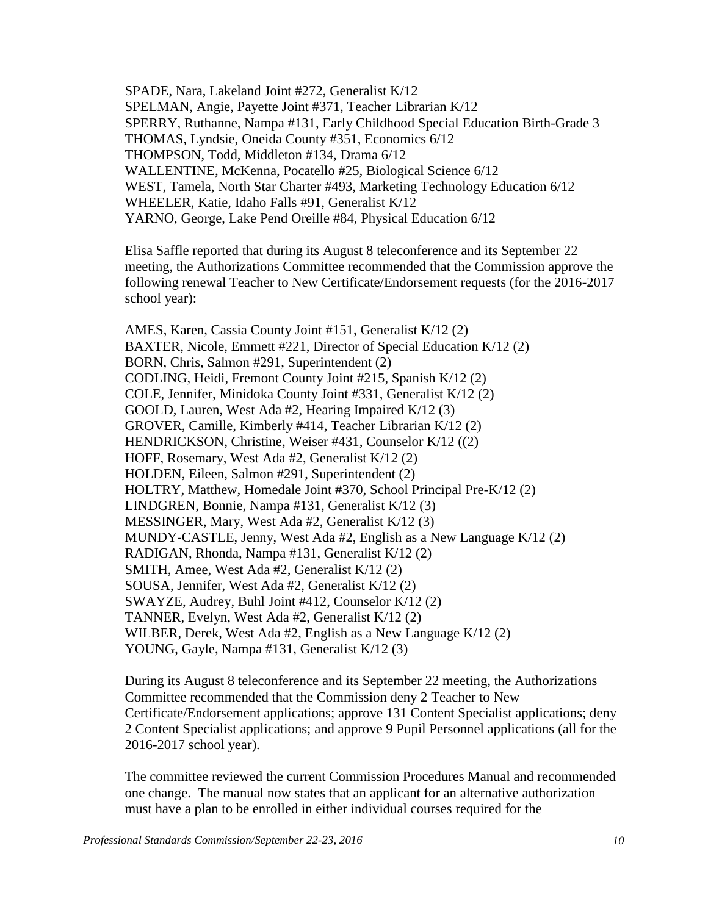SPADE, Nara, Lakeland Joint #272, Generalist K/12 SPELMAN, Angie, Payette Joint #371, Teacher Librarian K/12 SPERRY, Ruthanne, Nampa #131, Early Childhood Special Education Birth-Grade 3 THOMAS, Lyndsie, Oneida County #351, Economics 6/12 THOMPSON, Todd, Middleton #134, Drama 6/12 WALLENTINE, McKenna, Pocatello #25, Biological Science 6/12 WEST, Tamela, North Star Charter #493, Marketing Technology Education 6/12 WHEELER, Katie, Idaho Falls #91, Generalist K/12 YARNO, George, Lake Pend Oreille #84, Physical Education 6/12

Elisa Saffle reported that during its August 8 teleconference and its September 22 meeting, the Authorizations Committee recommended that the Commission approve the following renewal Teacher to New Certificate/Endorsement requests (for the 2016-2017 school year):

AMES, Karen, Cassia County Joint #151, Generalist K/12 (2) BAXTER, Nicole, Emmett #221, Director of Special Education K/12 (2) BORN, Chris, Salmon #291, Superintendent (2) CODLING, Heidi, Fremont County Joint #215, Spanish K/12 (2) COLE, Jennifer, Minidoka County Joint #331, Generalist K/12 (2) GOOLD, Lauren, West Ada #2, Hearing Impaired K/12 (3) GROVER, Camille, Kimberly #414, Teacher Librarian K/12 (2) HENDRICKSON, Christine, Weiser #431, Counselor K/12 ((2) HOFF, Rosemary, West Ada #2, Generalist K/12 (2) HOLDEN, Eileen, Salmon #291, Superintendent (2) HOLTRY, Matthew, Homedale Joint #370, School Principal Pre-K/12 (2) LINDGREN, Bonnie, Nampa #131, Generalist K/12 (3) MESSINGER, Mary, West Ada #2, Generalist K/12 (3) MUNDY-CASTLE, Jenny, West Ada #2, English as a New Language K/12 (2) RADIGAN, Rhonda, Nampa #131, Generalist K/12 (2) SMITH, Amee, West Ada #2, Generalist K/12 (2) SOUSA, Jennifer, West Ada #2, Generalist K/12 (2) SWAYZE, Audrey, Buhl Joint #412, Counselor K/12 (2) TANNER, Evelyn, West Ada #2, Generalist K/12 (2) WILBER, Derek, West Ada #2, English as a New Language K/12 (2) YOUNG, Gayle, Nampa #131, Generalist K/12 (3)

During its August 8 teleconference and its September 22 meeting, the Authorizations Committee recommended that the Commission deny 2 Teacher to New Certificate/Endorsement applications; approve 131 Content Specialist applications; deny 2 Content Specialist applications; and approve 9 Pupil Personnel applications (all for the 2016-2017 school year).

The committee reviewed the current Commission Procedures Manual and recommended one change. The manual now states that an applicant for an alternative authorization must have a plan to be enrolled in either individual courses required for the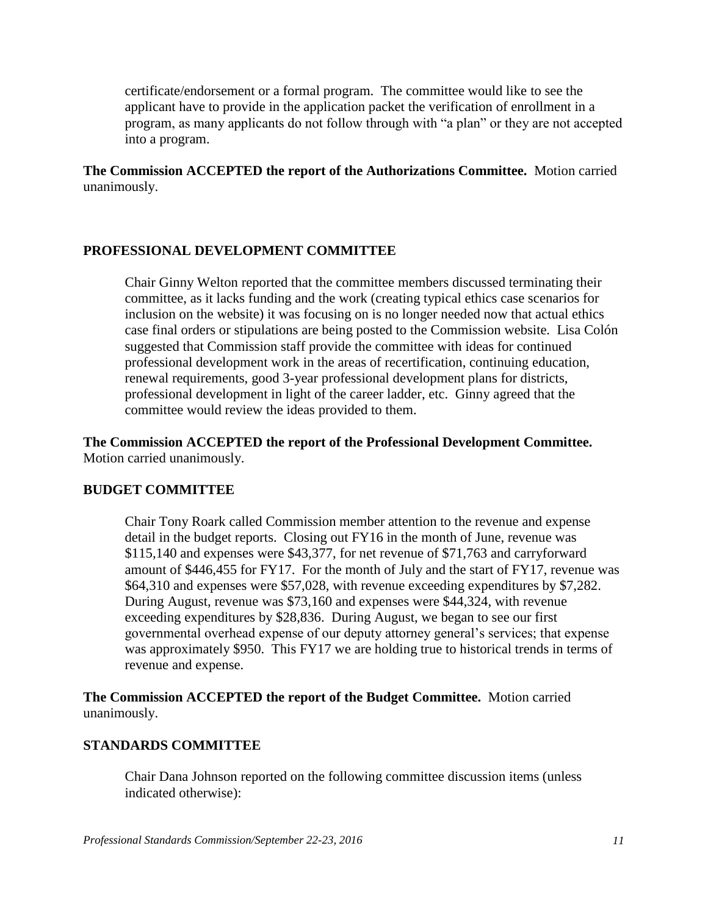certificate/endorsement or a formal program. The committee would like to see the applicant have to provide in the application packet the verification of enrollment in a program, as many applicants do not follow through with "a plan" or they are not accepted into a program.

**The Commission ACCEPTED the report of the Authorizations Committee.** Motion carried unanimously.

### **PROFESSIONAL DEVELOPMENT COMMITTEE**

Chair Ginny Welton reported that the committee members discussed terminating their committee, as it lacks funding and the work (creating typical ethics case scenarios for inclusion on the website) it was focusing on is no longer needed now that actual ethics case final orders or stipulations are being posted to the Commission website. Lisa Colón suggested that Commission staff provide the committee with ideas for continued professional development work in the areas of recertification, continuing education, renewal requirements, good 3-year professional development plans for districts, professional development in light of the career ladder, etc. Ginny agreed that the committee would review the ideas provided to them.

**The Commission ACCEPTED the report of the Professional Development Committee.**  Motion carried unanimously.

#### **BUDGET COMMITTEE**

Chair Tony Roark called Commission member attention to the revenue and expense detail in the budget reports. Closing out FY16 in the month of June, revenue was \$115,140 and expenses were \$43,377, for net revenue of \$71,763 and carryforward amount of \$446,455 for FY17. For the month of July and the start of FY17, revenue was \$64,310 and expenses were \$57,028, with revenue exceeding expenditures by \$7,282. During August, revenue was \$73,160 and expenses were \$44,324, with revenue exceeding expenditures by \$28,836. During August, we began to see our first governmental overhead expense of our deputy attorney general's services; that expense was approximately \$950. This FY17 we are holding true to historical trends in terms of revenue and expense.

**The Commission ACCEPTED the report of the Budget Committee.** Motion carried unanimously.

#### **STANDARDS COMMITTEE**

Chair Dana Johnson reported on the following committee discussion items (unless indicated otherwise):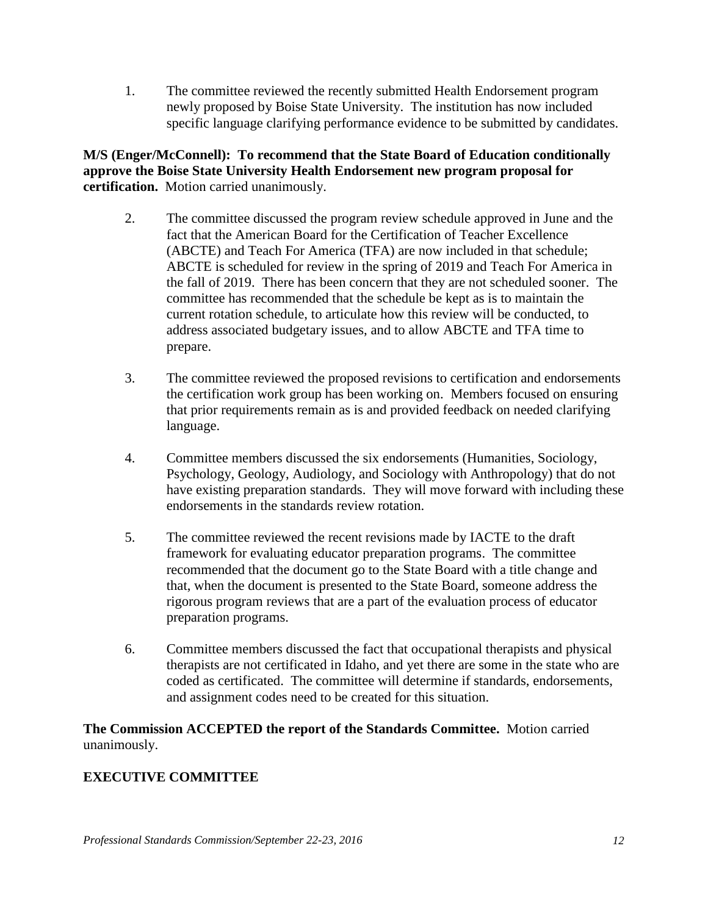1. The committee reviewed the recently submitted Health Endorsement program newly proposed by Boise State University. The institution has now included specific language clarifying performance evidence to be submitted by candidates.

# **M/S (Enger/McConnell): To recommend that the State Board of Education conditionally approve the Boise State University Health Endorsement new program proposal for certification.** Motion carried unanimously.

- 2. The committee discussed the program review schedule approved in June and the fact that the American Board for the Certification of Teacher Excellence (ABCTE) and Teach For America (TFA) are now included in that schedule; ABCTE is scheduled for review in the spring of 2019 and Teach For America in the fall of 2019. There has been concern that they are not scheduled sooner. The committee has recommended that the schedule be kept as is to maintain the current rotation schedule, to articulate how this review will be conducted, to address associated budgetary issues, and to allow ABCTE and TFA time to prepare.
- 3. The committee reviewed the proposed revisions to certification and endorsements the certification work group has been working on. Members focused on ensuring that prior requirements remain as is and provided feedback on needed clarifying language.
- 4. Committee members discussed the six endorsements (Humanities, Sociology, Psychology, Geology, Audiology, and Sociology with Anthropology) that do not have existing preparation standards. They will move forward with including these endorsements in the standards review rotation.
- 5. The committee reviewed the recent revisions made by IACTE to the draft framework for evaluating educator preparation programs. The committee recommended that the document go to the State Board with a title change and that, when the document is presented to the State Board, someone address the rigorous program reviews that are a part of the evaluation process of educator preparation programs.
- 6. Committee members discussed the fact that occupational therapists and physical therapists are not certificated in Idaho, and yet there are some in the state who are coded as certificated. The committee will determine if standards, endorsements, and assignment codes need to be created for this situation.

**The Commission ACCEPTED the report of the Standards Committee.** Motion carried unanimously.

# **EXECUTIVE COMMITTEE**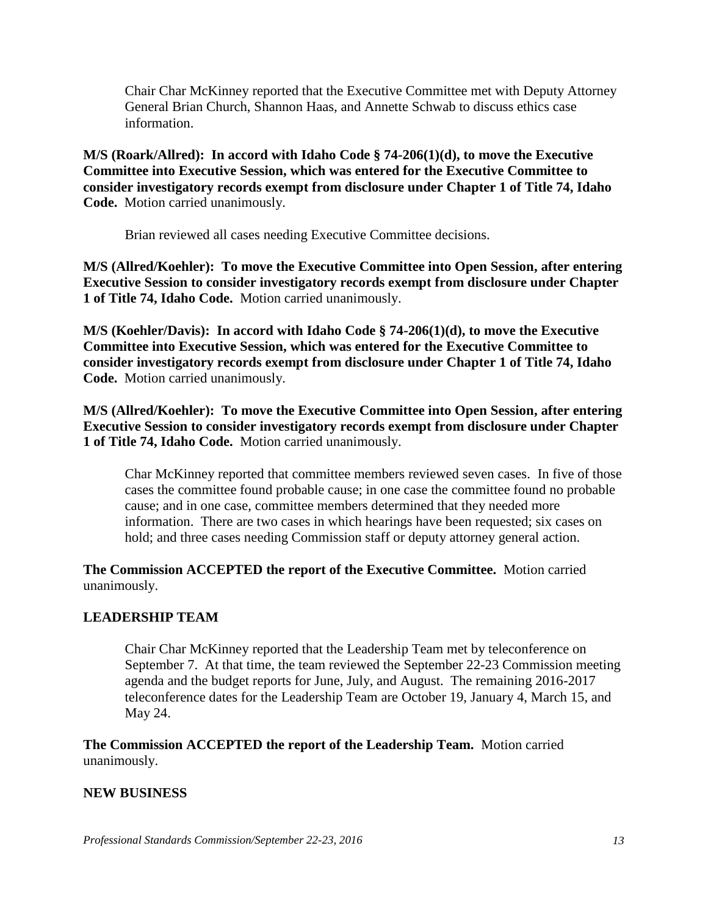Chair Char McKinney reported that the Executive Committee met with Deputy Attorney General Brian Church, Shannon Haas, and Annette Schwab to discuss ethics case information.

**M/S (Roark/Allred): In accord with Idaho Code § 74-206(1)(d), to move the Executive Committee into Executive Session, which was entered for the Executive Committee to consider investigatory records exempt from disclosure under Chapter 1 of Title 74, Idaho Code.** Motion carried unanimously.

Brian reviewed all cases needing Executive Committee decisions.

**M/S (Allred/Koehler): To move the Executive Committee into Open Session, after entering Executive Session to consider investigatory records exempt from disclosure under Chapter 1 of Title 74, Idaho Code.** Motion carried unanimously.

**M/S (Koehler/Davis): In accord with Idaho Code § 74-206(1)(d), to move the Executive Committee into Executive Session, which was entered for the Executive Committee to consider investigatory records exempt from disclosure under Chapter 1 of Title 74, Idaho Code.** Motion carried unanimously.

**M/S (Allred/Koehler): To move the Executive Committee into Open Session, after entering Executive Session to consider investigatory records exempt from disclosure under Chapter 1 of Title 74, Idaho Code.** Motion carried unanimously.

Char McKinney reported that committee members reviewed seven cases. In five of those cases the committee found probable cause; in one case the committee found no probable cause; and in one case, committee members determined that they needed more information. There are two cases in which hearings have been requested; six cases on hold; and three cases needing Commission staff or deputy attorney general action.

**The Commission ACCEPTED the report of the Executive Committee.** Motion carried unanimously.

# **LEADERSHIP TEAM**

Chair Char McKinney reported that the Leadership Team met by teleconference on September 7. At that time, the team reviewed the September 22-23 Commission meeting agenda and the budget reports for June, July, and August. The remaining 2016-2017 teleconference dates for the Leadership Team are October 19, January 4, March 15, and May 24.

**The Commission ACCEPTED the report of the Leadership Team.** Motion carried unanimously.

# **NEW BUSINESS**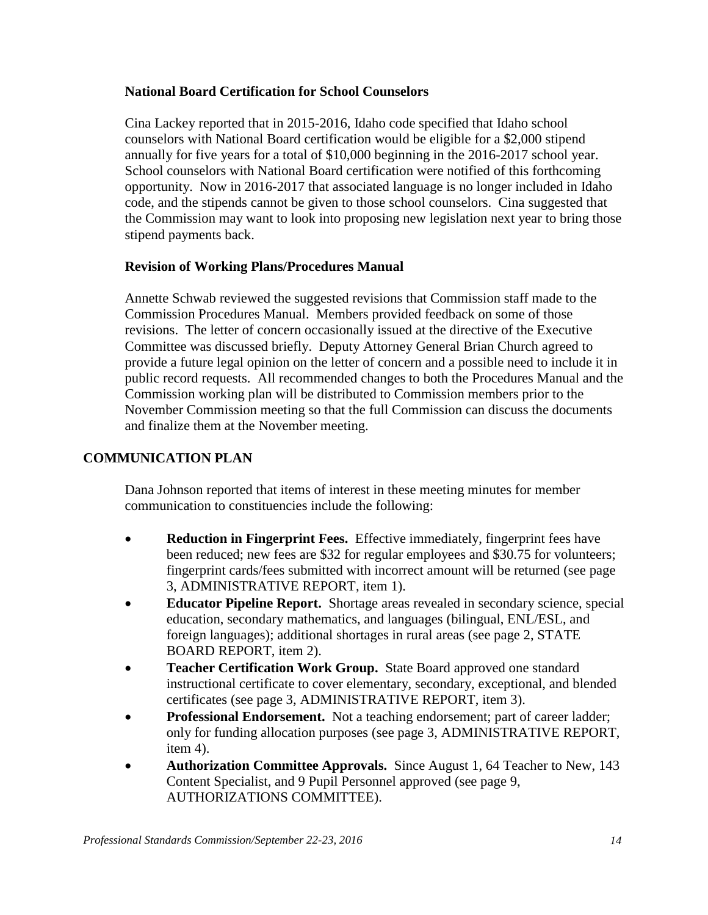## **National Board Certification for School Counselors**

Cina Lackey reported that in 2015-2016, Idaho code specified that Idaho school counselors with National Board certification would be eligible for a \$2,000 stipend annually for five years for a total of \$10,000 beginning in the 2016-2017 school year. School counselors with National Board certification were notified of this forthcoming opportunity. Now in 2016-2017 that associated language is no longer included in Idaho code, and the stipends cannot be given to those school counselors. Cina suggested that the Commission may want to look into proposing new legislation next year to bring those stipend payments back.

### **Revision of Working Plans/Procedures Manual**

Annette Schwab reviewed the suggested revisions that Commission staff made to the Commission Procedures Manual. Members provided feedback on some of those revisions. The letter of concern occasionally issued at the directive of the Executive Committee was discussed briefly. Deputy Attorney General Brian Church agreed to provide a future legal opinion on the letter of concern and a possible need to include it in public record requests. All recommended changes to both the Procedures Manual and the Commission working plan will be distributed to Commission members prior to the November Commission meeting so that the full Commission can discuss the documents and finalize them at the November meeting.

# **COMMUNICATION PLAN**

Dana Johnson reported that items of interest in these meeting minutes for member communication to constituencies include the following:

- **Reduction in Fingerprint Fees.** Effective immediately, fingerprint fees have been reduced; new fees are \$32 for regular employees and \$30.75 for volunteers; fingerprint cards/fees submitted with incorrect amount will be returned (see page 3, ADMINISTRATIVE REPORT, item 1).
- **Educator Pipeline Report.** Shortage areas revealed in secondary science, special education, secondary mathematics, and languages (bilingual, ENL/ESL, and foreign languages); additional shortages in rural areas (see page 2, STATE BOARD REPORT, item 2).
- **Teacher Certification Work Group.** State Board approved one standard instructional certificate to cover elementary, secondary, exceptional, and blended certificates (see page 3, ADMINISTRATIVE REPORT, item 3).
- **Professional Endorsement.** Not a teaching endorsement; part of career ladder; only for funding allocation purposes (see page 3, ADMINISTRATIVE REPORT, item 4).
- **Authorization Committee Approvals.** Since August 1, 64 Teacher to New, 143 Content Specialist, and 9 Pupil Personnel approved (see page 9, AUTHORIZATIONS COMMITTEE).